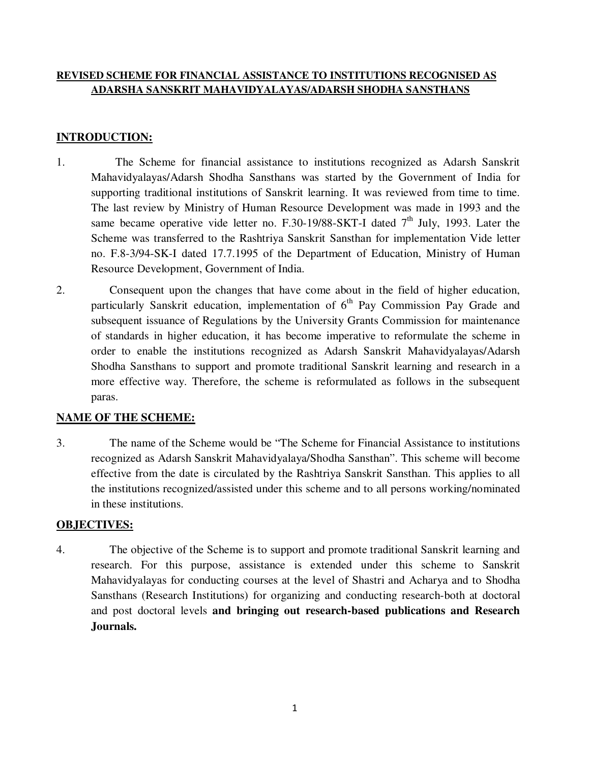# **REVISED SCHEME FOR FINANCIAL ASSISTANCE TO INSTITUTIONS RECOGNISED AS ADARSHA SANSKRIT MAHAVIDYALAYAS/ADARSH SHODHA SANSTHANS**

# **INTRODUCTION:**

- 1. The Scheme for financial assistance to institutions recognized as Adarsh Sanskrit Mahavidyalayas/Adarsh Shodha Sansthans was started by the Government of India for supporting traditional institutions of Sanskrit learning. It was reviewed from time to time. The last review by Ministry of Human Resource Development was made in 1993 and the same became operative vide letter no. F.30-19/88-SKT-I dated  $7<sup>th</sup>$  July, 1993. Later the Scheme was transferred to the Rashtriya Sanskrit Sansthan for implementation Vide letter no. F.8-3/94-SK-I dated 17.7.1995 of the Department of Education, Ministry of Human Resource Development, Government of India.
- 2. Consequent upon the changes that have come about in the field of higher education, particularly Sanskrit education, implementation of  $6<sup>th</sup>$  Pay Commission Pay Grade and subsequent issuance of Regulations by the University Grants Commission for maintenance of standards in higher education, it has become imperative to reformulate the scheme in order to enable the institutions recognized as Adarsh Sanskrit Mahavidyalayas/Adarsh Shodha Sansthans to support and promote traditional Sanskrit learning and research in a more effective way. Therefore, the scheme is reformulated as follows in the subsequent paras.

# **NAME OF THE SCHEME:**

3. The name of the Scheme would be "The Scheme for Financial Assistance to institutions recognized as Adarsh Sanskrit Mahavidyalaya/Shodha Sansthan". This scheme will become effective from the date is circulated by the Rashtriya Sanskrit Sansthan. This applies to all the institutions recognized/assisted under this scheme and to all persons working/nominated in these institutions.

#### **OBJECTIVES:**

4. The objective of the Scheme is to support and promote traditional Sanskrit learning and research. For this purpose, assistance is extended under this scheme to Sanskrit Mahavidyalayas for conducting courses at the level of Shastri and Acharya and to Shodha Sansthans (Research Institutions) for organizing and conducting research-both at doctoral and post doctoral levels **and bringing out research-based publications and Research Journals.**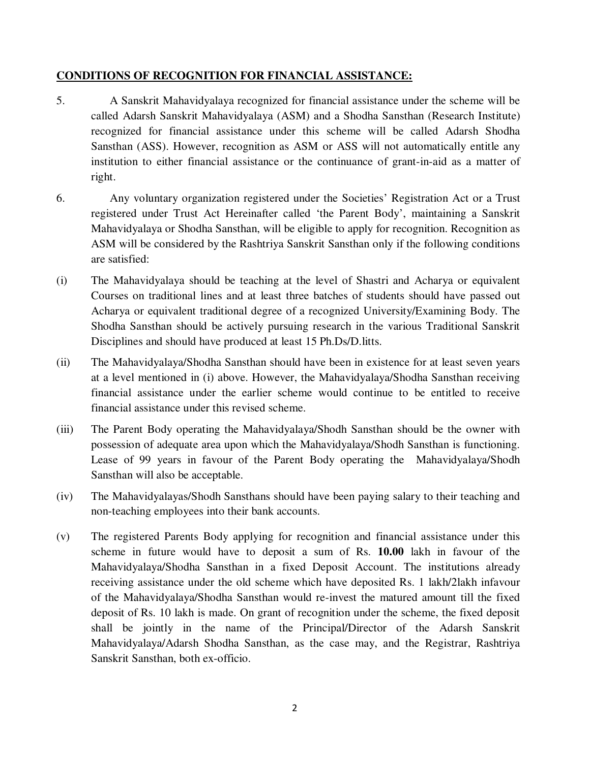### **CONDITIONS OF RECOGNITION FOR FINANCIAL ASSISTANCE:**

- 5. A Sanskrit Mahavidyalaya recognized for financial assistance under the scheme will be called Adarsh Sanskrit Mahavidyalaya (ASM) and a Shodha Sansthan (Research Institute) recognized for financial assistance under this scheme will be called Adarsh Shodha Sansthan (ASS). However, recognition as ASM or ASS will not automatically entitle any institution to either financial assistance or the continuance of grant-in-aid as a matter of right.
- 6. Any voluntary organization registered under the Societies' Registration Act or a Trust registered under Trust Act Hereinafter called 'the Parent Body', maintaining a Sanskrit Mahavidyalaya or Shodha Sansthan, will be eligible to apply for recognition. Recognition as ASM will be considered by the Rashtriya Sanskrit Sansthan only if the following conditions are satisfied:
- (i) The Mahavidyalaya should be teaching at the level of Shastri and Acharya or equivalent Courses on traditional lines and at least three batches of students should have passed out Acharya or equivalent traditional degree of a recognized University/Examining Body. The Shodha Sansthan should be actively pursuing research in the various Traditional Sanskrit Disciplines and should have produced at least 15 Ph.Ds/D.litts.
- (ii) The Mahavidyalaya/Shodha Sansthan should have been in existence for at least seven years at a level mentioned in (i) above. However, the Mahavidyalaya/Shodha Sansthan receiving financial assistance under the earlier scheme would continue to be entitled to receive financial assistance under this revised scheme.
- (iii) The Parent Body operating the Mahavidyalaya/Shodh Sansthan should be the owner with possession of adequate area upon which the Mahavidyalaya/Shodh Sansthan is functioning. Lease of 99 years in favour of the Parent Body operating the Mahavidyalaya/Shodh Sansthan will also be acceptable.
- (iv) The Mahavidyalayas/Shodh Sansthans should have been paying salary to their teaching and non-teaching employees into their bank accounts.
- (v) The registered Parents Body applying for recognition and financial assistance under this scheme in future would have to deposit a sum of Rs. **10.00** lakh in favour of the Mahavidyalaya/Shodha Sansthan in a fixed Deposit Account. The institutions already receiving assistance under the old scheme which have deposited Rs. 1 lakh/2lakh infavour of the Mahavidyalaya/Shodha Sansthan would re-invest the matured amount till the fixed deposit of Rs. 10 lakh is made. On grant of recognition under the scheme, the fixed deposit shall be jointly in the name of the Principal/Director of the Adarsh Sanskrit Mahavidyalaya/Adarsh Shodha Sansthan, as the case may, and the Registrar, Rashtriya Sanskrit Sansthan, both ex-officio.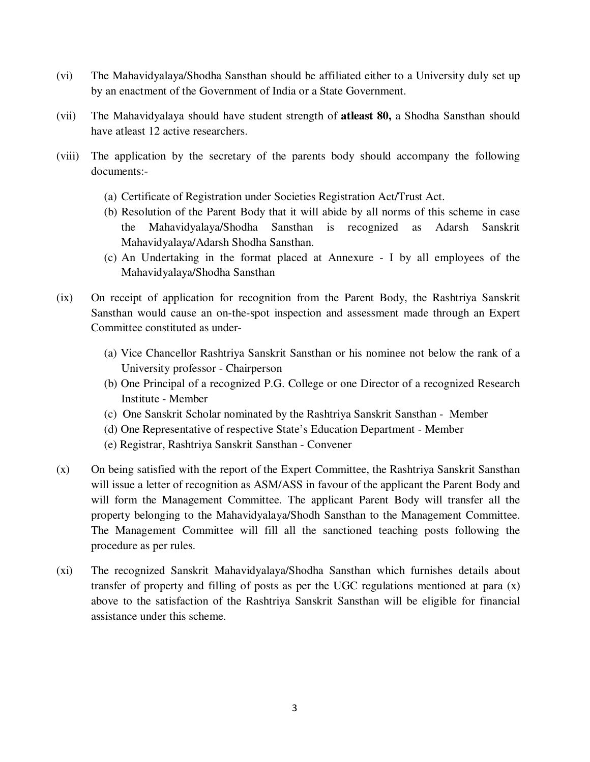- (vi) The Mahavidyalaya/Shodha Sansthan should be affiliated either to a University duly set up by an enactment of the Government of India or a State Government.
- (vii) The Mahavidyalaya should have student strength of **atleast 80,** a Shodha Sansthan should have atleast 12 active researchers.
- (viii) The application by the secretary of the parents body should accompany the following documents:-
	- (a) Certificate of Registration under Societies Registration Act/Trust Act.
	- (b) Resolution of the Parent Body that it will abide by all norms of this scheme in case the Mahavidyalaya/Shodha Sansthan is recognized as Adarsh Sanskrit Mahavidyalaya/Adarsh Shodha Sansthan.
	- (c) An Undertaking in the format placed at Annexure I by all employees of the Mahavidyalaya/Shodha Sansthan
- (ix) On receipt of application for recognition from the Parent Body, the Rashtriya Sanskrit Sansthan would cause an on-the-spot inspection and assessment made through an Expert Committee constituted as under-
	- (a) Vice Chancellor Rashtriya Sanskrit Sansthan or his nominee not below the rank of a University professor - Chairperson
	- (b) One Principal of a recognized P.G. College or one Director of a recognized Research Institute - Member
	- (c) One Sanskrit Scholar nominated by the Rashtriya Sanskrit Sansthan Member
	- (d) One Representative of respective State's Education Department Member
	- (e) Registrar, Rashtriya Sanskrit Sansthan Convener
- (x) On being satisfied with the report of the Expert Committee, the Rashtriya Sanskrit Sansthan will issue a letter of recognition as ASM/ASS in favour of the applicant the Parent Body and will form the Management Committee. The applicant Parent Body will transfer all the property belonging to the Mahavidyalaya/Shodh Sansthan to the Management Committee. The Management Committee will fill all the sanctioned teaching posts following the procedure as per rules.
- (xi) The recognized Sanskrit Mahavidyalaya/Shodha Sansthan which furnishes details about transfer of property and filling of posts as per the UGC regulations mentioned at para  $(x)$ above to the satisfaction of the Rashtriya Sanskrit Sansthan will be eligible for financial assistance under this scheme.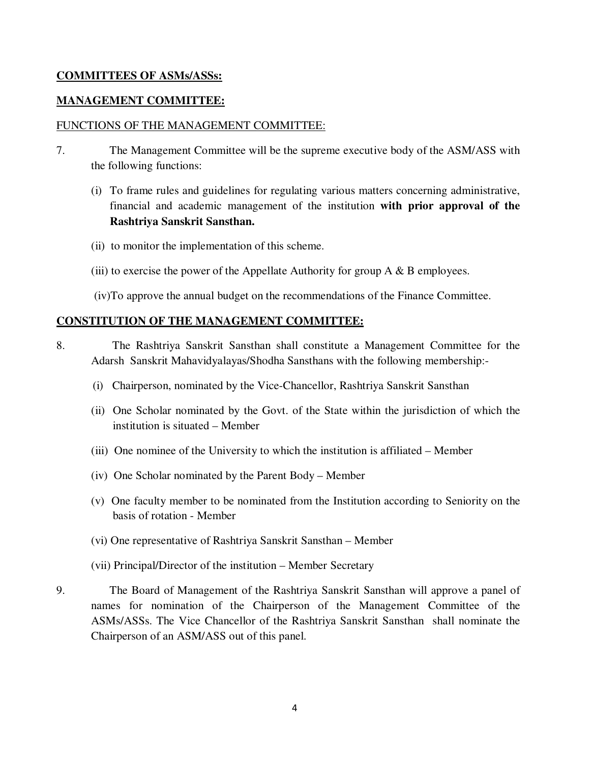# **COMMITTEES OF ASMs/ASSs:**

#### **MANAGEMENT COMMITTEE:**

### FUNCTIONS OF THE MANAGEMENT COMMITTEE:

- 7. The Management Committee will be the supreme executive body of the ASM/ASS with the following functions:
	- (i) To frame rules and guidelines for regulating various matters concerning administrative, financial and academic management of the institution **with prior approval of the Rashtriya Sanskrit Sansthan.**
	- (ii) to monitor the implementation of this scheme.
	- (iii) to exercise the power of the Appellate Authority for group  $A \& B$  employees.
	- (iv)To approve the annual budget on the recommendations of the Finance Committee.

#### **CONSTITUTION OF THE MANAGEMENT COMMITTEE:**

- 8. The Rashtriya Sanskrit Sansthan shall constitute a Management Committee for the Adarsh Sanskrit Mahavidyalayas/Shodha Sansthans with the following membership:-
	- (i) Chairperson, nominated by the Vice-Chancellor, Rashtriya Sanskrit Sansthan
	- (ii) One Scholar nominated by the Govt. of the State within the jurisdiction of which the institution is situated – Member
	- (iii) One nominee of the University to which the institution is affiliated Member
	- (iv) One Scholar nominated by the Parent Body Member
	- (v) One faculty member to be nominated from the Institution according to Seniority on the basis of rotation - Member
	- (vi) One representative of Rashtriya Sanskrit Sansthan Member
	- (vii) Principal/Director of the institution Member Secretary
- 9. The Board of Management of the Rashtriya Sanskrit Sansthan will approve a panel of names for nomination of the Chairperson of the Management Committee of the ASMs/ASSs. The Vice Chancellor of the Rashtriya Sanskrit Sansthan shall nominate the Chairperson of an ASM/ASS out of this panel.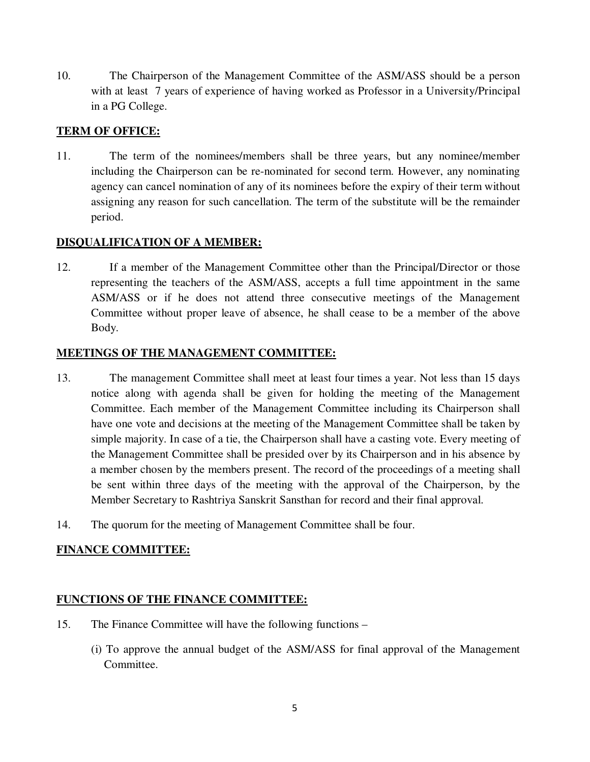10. The Chairperson of the Management Committee of the ASM/ASS should be a person with at least 7 years of experience of having worked as Professor in a University/Principal in a PG College.

# **TERM OF OFFICE:**

11. The term of the nominees/members shall be three years, but any nominee/member including the Chairperson can be re-nominated for second term. However, any nominating agency can cancel nomination of any of its nominees before the expiry of their term without assigning any reason for such cancellation. The term of the substitute will be the remainder period.

# **DISQUALIFICATION OF A MEMBER:**

12. If a member of the Management Committee other than the Principal/Director or those representing the teachers of the ASM/ASS, accepts a full time appointment in the same ASM/ASS or if he does not attend three consecutive meetings of the Management Committee without proper leave of absence, he shall cease to be a member of the above Body.

# **MEETINGS OF THE MANAGEMENT COMMITTEE:**

- 13. The management Committee shall meet at least four times a year. Not less than 15 days notice along with agenda shall be given for holding the meeting of the Management Committee. Each member of the Management Committee including its Chairperson shall have one vote and decisions at the meeting of the Management Committee shall be taken by simple majority. In case of a tie, the Chairperson shall have a casting vote. Every meeting of the Management Committee shall be presided over by its Chairperson and in his absence by a member chosen by the members present. The record of the proceedings of a meeting shall be sent within three days of the meeting with the approval of the Chairperson, by the Member Secretary to Rashtriya Sanskrit Sansthan for record and their final approval.
- 14. The quorum for the meeting of Management Committee shall be four.

# **FINANCE COMMITTEE:**

# **FUNCTIONS OF THE FINANCE COMMITTEE:**

- 15. The Finance Committee will have the following functions
	- (i) To approve the annual budget of the ASM/ASS for final approval of the Management Committee.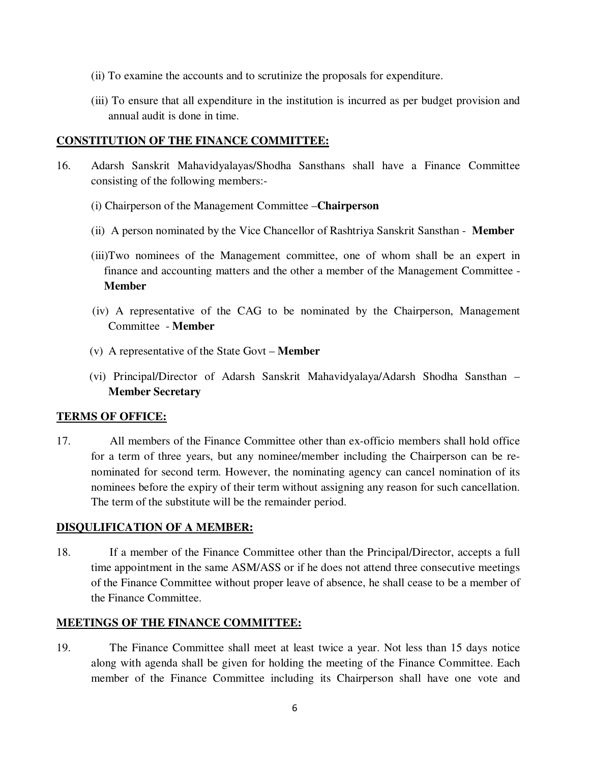- (ii) To examine the accounts and to scrutinize the proposals for expenditure.
- (iii) To ensure that all expenditure in the institution is incurred as per budget provision and annual audit is done in time.

#### **CONSTITUTION OF THE FINANCE COMMITTEE:**

- 16. Adarsh Sanskrit Mahavidyalayas/Shodha Sansthans shall have a Finance Committee consisting of the following members:-
	- (i) Chairperson of the Management Committee –**Chairperson**
	- (ii) A person nominated by the Vice Chancellor of Rashtriya Sanskrit Sansthan **Member**
	- (iii)Two nominees of the Management committee, one of whom shall be an expert in finance and accounting matters and the other a member of the Management Committee - **Member**
	- (iv) A representative of the CAG to be nominated by the Chairperson, Management Committee - **Member**
	- (v) A representative of the State Govt **Member**
	- (vi) Principal/Director of Adarsh Sanskrit Mahavidyalaya/Adarsh Shodha Sansthan **Member Secretary**

#### **TERMS OF OFFICE:**

17. All members of the Finance Committee other than ex-officio members shall hold office for a term of three years, but any nominee/member including the Chairperson can be renominated for second term. However, the nominating agency can cancel nomination of its nominees before the expiry of their term without assigning any reason for such cancellation. The term of the substitute will be the remainder period.

#### **DISQULIFICATION OF A MEMBER:**

18. If a member of the Finance Committee other than the Principal/Director, accepts a full time appointment in the same ASM/ASS or if he does not attend three consecutive meetings of the Finance Committee without proper leave of absence, he shall cease to be a member of the Finance Committee.

#### **MEETINGS OF THE FINANCE COMMITTEE:**

19. The Finance Committee shall meet at least twice a year. Not less than 15 days notice along with agenda shall be given for holding the meeting of the Finance Committee. Each member of the Finance Committee including its Chairperson shall have one vote and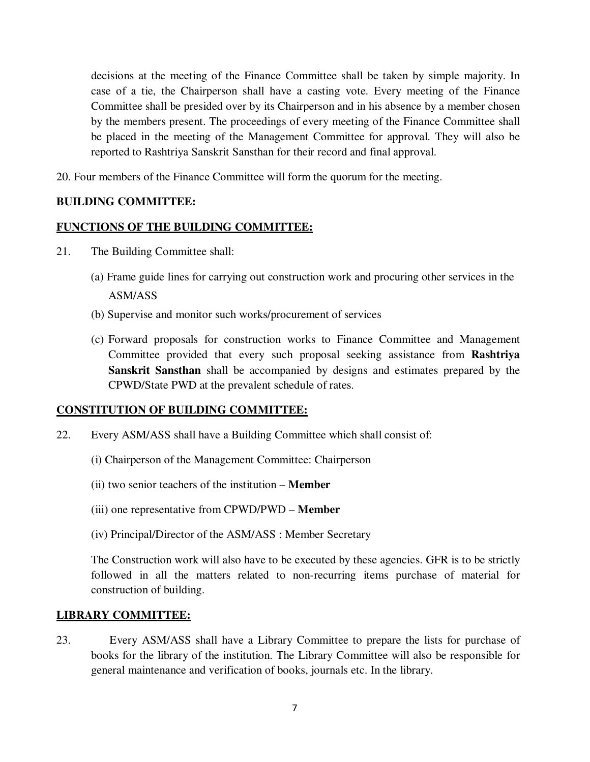decisions at the meeting of the Finance Committee shall be taken by simple majority. In case of a tie, the Chairperson shall have a casting vote. Every meeting of the Finance Committee shall be presided over by its Chairperson and in his absence by a member chosen by the members present. The proceedings of every meeting of the Finance Committee shall be placed in the meeting of the Management Committee for approval. They will also be reported to Rashtriya Sanskrit Sansthan for their record and final approval.

20. Four members of the Finance Committee will form the quorum for the meeting.

# **BUILDING COMMITTEE:**

# **FUNCTIONS OF THE BUILDING COMMITTEE:**

- 21. The Building Committee shall:
	- (a) Frame guide lines for carrying out construction work and procuring other services in the ASM/ASS
	- (b) Supervise and monitor such works/procurement of services
	- (c) Forward proposals for construction works to Finance Committee and Management Committee provided that every such proposal seeking assistance from **Rashtriya Sanskrit Sansthan** shall be accompanied by designs and estimates prepared by the CPWD/State PWD at the prevalent schedule of rates.

#### **CONSTITUTION OF BUILDING COMMITTEE:**

- 22. Every ASM/ASS shall have a Building Committee which shall consist of:
	- (i) Chairperson of the Management Committee: Chairperson
	- (ii) two senior teachers of the institution **Member**
	- (iii) one representative from CPWD/PWD **Member**
	- (iv) Principal/Director of the ASM/ASS : Member Secretary

 The Construction work will also have to be executed by these agencies. GFR is to be strictly followed in all the matters related to non-recurring items purchase of material for construction of building.

#### **LIBRARY COMMITTEE:**

23. Every ASM/ASS shall have a Library Committee to prepare the lists for purchase of books for the library of the institution. The Library Committee will also be responsible for general maintenance and verification of books, journals etc. In the library.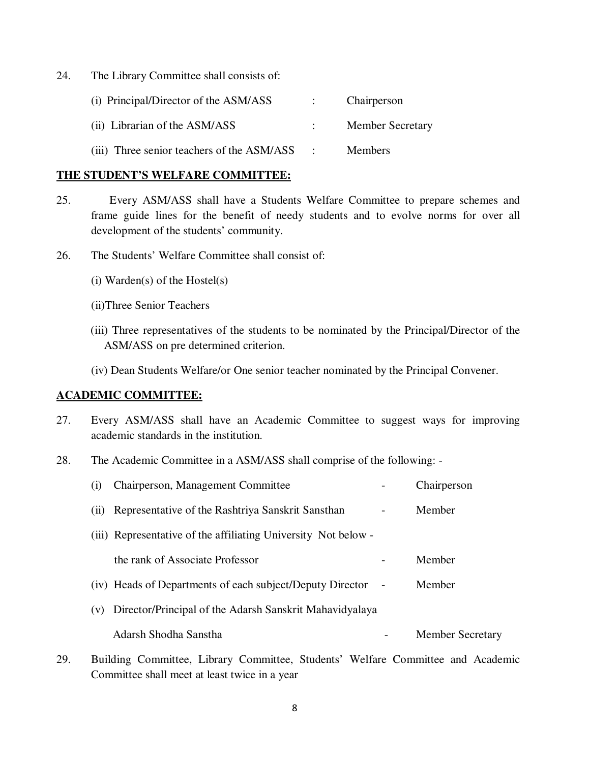24. The Library Committee shall consists of:

| (i) Principal/Director of the ASM/ASS      |                            | Chairperson             |
|--------------------------------------------|----------------------------|-------------------------|
| (ii) Librarian of the ASM/ASS              |                            | <b>Member Secretary</b> |
| (iii) Three senior teachers of the ASM/ASS | $\sim$ 100 $\pm$ 100 $\pm$ | <b>Members</b>          |

#### **THE STUDENT'S WELFARE COMMITTEE:**

- 25. Every ASM/ASS shall have a Students Welfare Committee to prepare schemes and frame guide lines for the benefit of needy students and to evolve norms for over all development of the students' community.
- 26. The Students' Welfare Committee shall consist of:
	- (i) Warden(s) of the Hostel(s)
	- (ii)Three Senior Teachers
	- (iii) Three representatives of the students to be nominated by the Principal/Director of the ASM/ASS on pre determined criterion.
	- (iv) Dean Students Welfare/or One senior teacher nominated by the Principal Convener.

#### **ACADEMIC COMMITTEE:**

- 27. Every ASM/ASS shall have an Academic Committee to suggest ways for improving academic standards in the institution.
- 28. The Academic Committee in a ASM/ASS shall comprise of the following: -

| $\left( 1 \right)$ | Chairperson, Management Committee                              |   | Chairperson             |
|--------------------|----------------------------------------------------------------|---|-------------------------|
| (11)               | Representative of the Rashtriya Sanskrit Sansthan              | - | Member                  |
|                    | (iii) Representative of the affiliating University Not below - |   |                         |
|                    | the rank of Associate Professor                                |   | Member                  |
|                    | (iv) Heads of Departments of each subject/Deputy Director      |   | Member                  |
| (V)                | Director/Principal of the Adarsh Sanskrit Mahavidyalaya        |   |                         |
|                    | Adarsh Shodha Sanstha                                          |   | <b>Member Secretary</b> |

29. Building Committee, Library Committee, Students' Welfare Committee and Academic Committee shall meet at least twice in a year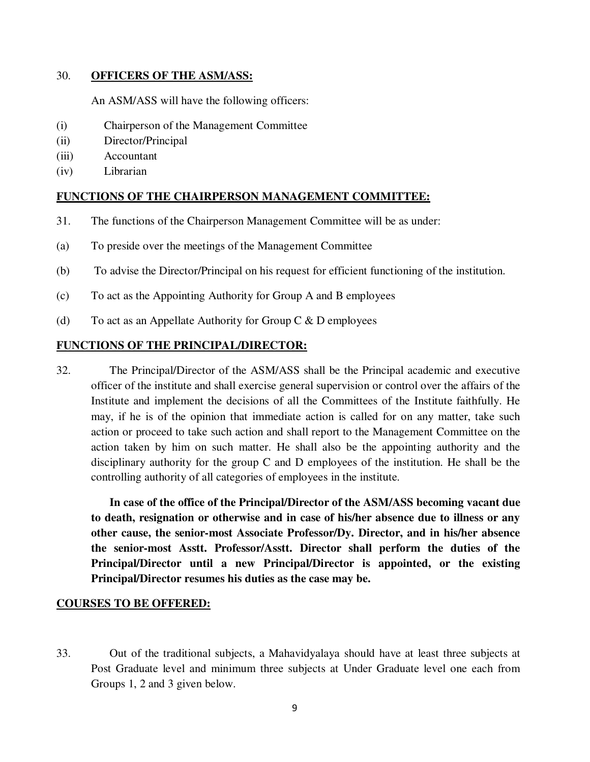#### 30. **OFFICERS OF THE ASM/ASS:**

An ASM/ASS will have the following officers:

- (i) Chairperson of the Management Committee
- (ii) Director/Principal
- (iii) Accountant
- (iv) Librarian

# **FUNCTIONS OF THE CHAIRPERSON MANAGEMENT COMMITTEE:**

- 31. The functions of the Chairperson Management Committee will be as under:
- (a) To preside over the meetings of the Management Committee
- (b) To advise the Director/Principal on his request for efficient functioning of the institution.
- (c) To act as the Appointing Authority for Group A and B employees
- (d) To act as an Appellate Authority for Group C  $&$  D employees

#### **FUNCTIONS OF THE PRINCIPAL/DIRECTOR:**

32. The Principal/Director of the ASM/ASS shall be the Principal academic and executive officer of the institute and shall exercise general supervision or control over the affairs of the Institute and implement the decisions of all the Committees of the Institute faithfully. He may, if he is of the opinion that immediate action is called for on any matter, take such action or proceed to take such action and shall report to the Management Committee on the action taken by him on such matter. He shall also be the appointing authority and the disciplinary authority for the group C and D employees of the institution. He shall be the controlling authority of all categories of employees in the institute.

 **In case of the office of the Principal/Director of the ASM/ASS becoming vacant due to death, resignation or otherwise and in case of his/her absence due to illness or any other cause, the senior-most Associate Professor/Dy. Director, and in his/her absence the senior-most Asstt. Professor/Asstt. Director shall perform the duties of the Principal/Director until a new Principal/Director is appointed, or the existing Principal/Director resumes his duties as the case may be.**

#### **COURSES TO BE OFFERED:**

33. Out of the traditional subjects, a Mahavidyalaya should have at least three subjects at Post Graduate level and minimum three subjects at Under Graduate level one each from Groups 1, 2 and 3 given below.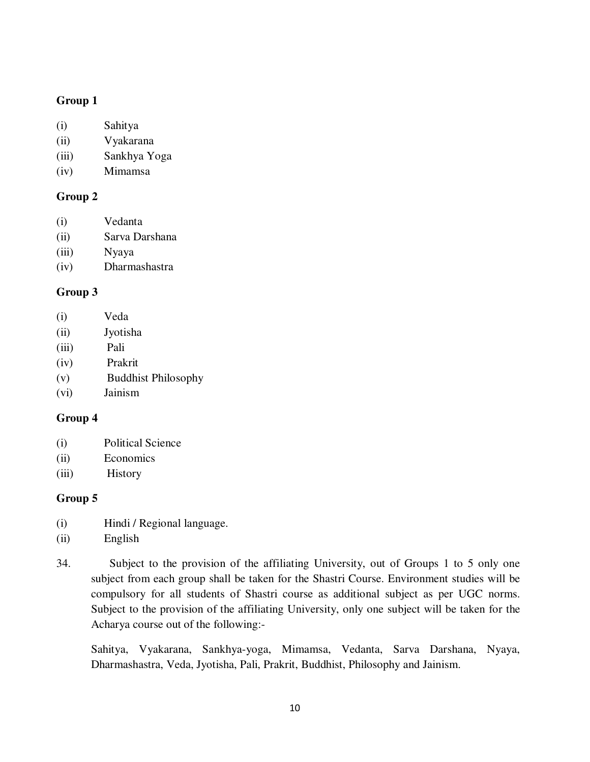# **Group 1**

- (i) Sahitya
- (ii) Vyakarana
- (iii) Sankhya Yoga
- (iv) Mimamsa

# **Group 2**

- (i) Vedanta
- (ii) Sarva Darshana
- (iii) Nyaya
- (iv) Dharmashastra

#### **Group 3**

- (i) Veda
- (ii) Jyotisha
- (iii) Pali
- (iv) Prakrit
- (v) Buddhist Philosophy
- (vi) Jainism

# **Group 4**

- (i) Political Science
- (ii) Economics
- (iii) History

#### **Group 5**

- (i) Hindi / Regional language.
- (ii) English
- 34. Subject to the provision of the affiliating University, out of Groups 1 to 5 only one subject from each group shall be taken for the Shastri Course. Environment studies will be compulsory for all students of Shastri course as additional subject as per UGC norms. Subject to the provision of the affiliating University, only one subject will be taken for the Acharya course out of the following:-

 Sahitya, Vyakarana, Sankhya-yoga, Mimamsa, Vedanta, Sarva Darshana, Nyaya, Dharmashastra, Veda, Jyotisha, Pali, Prakrit, Buddhist, Philosophy and Jainism.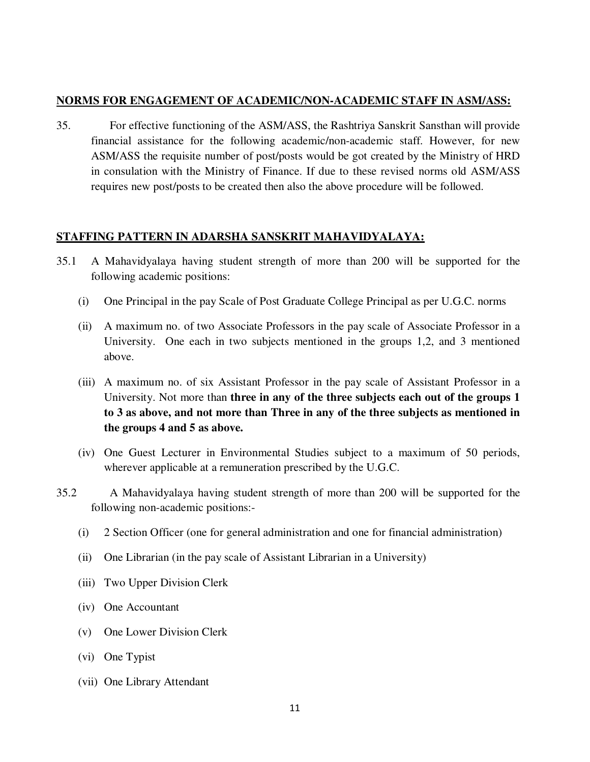#### **NORMS FOR ENGAGEMENT OF ACADEMIC/NON-ACADEMIC STAFF IN ASM/ASS:**

35. For effective functioning of the ASM/ASS, the Rashtriya Sanskrit Sansthan will provide financial assistance for the following academic/non-academic staff. However, for new ASM/ASS the requisite number of post/posts would be got created by the Ministry of HRD in consulation with the Ministry of Finance. If due to these revised norms old ASM/ASS requires new post/posts to be created then also the above procedure will be followed.

# **STAFFING PATTERN IN ADARSHA SANSKRIT MAHAVIDYALAYA:**

- 35.1 A Mahavidyalaya having student strength of more than 200 will be supported for the following academic positions:
	- (i) One Principal in the pay Scale of Post Graduate College Principal as per U.G.C. norms
	- (ii) A maximum no. of two Associate Professors in the pay scale of Associate Professor in a University. One each in two subjects mentioned in the groups 1,2, and 3 mentioned above.
	- (iii) A maximum no. of six Assistant Professor in the pay scale of Assistant Professor in a University. Not more than **three in any of the three subjects each out of the groups 1 to 3 as above, and not more than Three in any of the three subjects as mentioned in the groups 4 and 5 as above.**
	- (iv) One Guest Lecturer in Environmental Studies subject to a maximum of 50 periods, wherever applicable at a remuneration prescribed by the U.G.C.
- 35.2 A Mahavidyalaya having student strength of more than 200 will be supported for the following non-academic positions:-
	- (i) 2 Section Officer (one for general administration and one for financial administration)
	- (ii) One Librarian (in the pay scale of Assistant Librarian in a University)
	- (iii) Two Upper Division Clerk
	- (iv) One Accountant
	- (v) One Lower Division Clerk
	- (vi) One Typist
	- (vii) One Library Attendant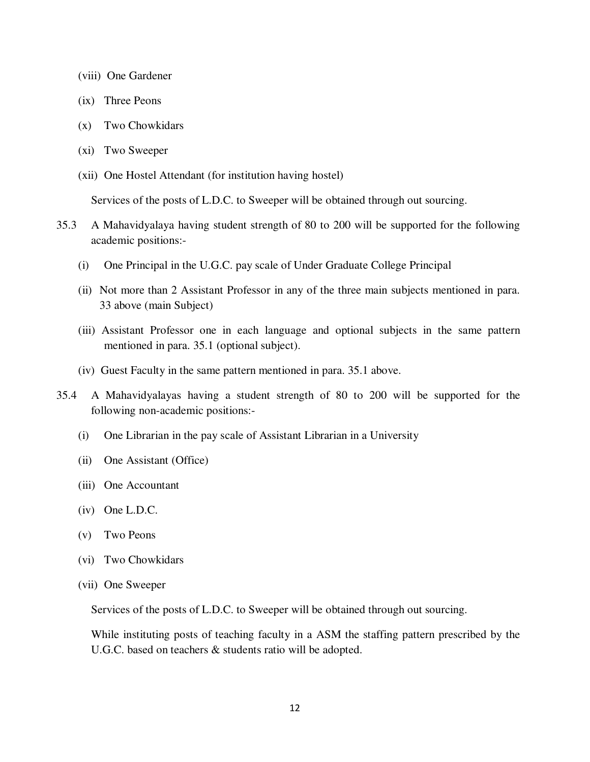- (viii) One Gardener
- (ix) Three Peons
- (x) Two Chowkidars
- (xi) Two Sweeper
- (xii) One Hostel Attendant (for institution having hostel)

Services of the posts of L.D.C. to Sweeper will be obtained through out sourcing.

- 35.3 A Mahavidyalaya having student strength of 80 to 200 will be supported for the following academic positions:-
	- (i) One Principal in the U.G.C. pay scale of Under Graduate College Principal
	- (ii) Not more than 2 Assistant Professor in any of the three main subjects mentioned in para. 33 above (main Subject)
	- (iii) Assistant Professor one in each language and optional subjects in the same pattern mentioned in para. 35.1 (optional subject).
	- (iv) Guest Faculty in the same pattern mentioned in para. 35.1 above.
- 35.4 A Mahavidyalayas having a student strength of 80 to 200 will be supported for the following non-academic positions:-
	- (i) One Librarian in the pay scale of Assistant Librarian in a University
	- (ii) One Assistant (Office)
	- (iii) One Accountant
	- (iv) One L.D.C.
	- (v) Two Peons
	- (vi) Two Chowkidars
	- (vii) One Sweeper

Services of the posts of L.D.C. to Sweeper will be obtained through out sourcing.

While instituting posts of teaching faculty in a ASM the staffing pattern prescribed by the U.G.C. based on teachers & students ratio will be adopted.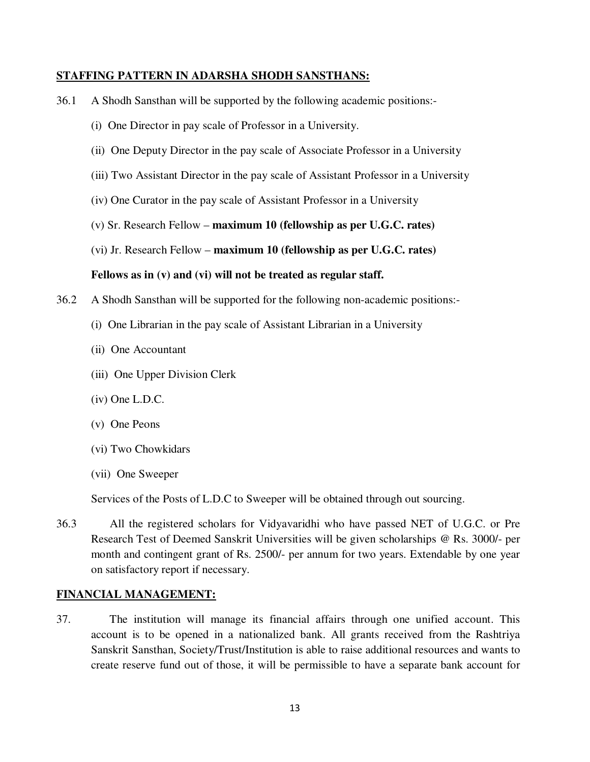#### **STAFFING PATTERN IN ADARSHA SHODH SANSTHANS:**

- 36.1 A Shodh Sansthan will be supported by the following academic positions:-
	- (i) One Director in pay scale of Professor in a University.
	- (ii) One Deputy Director in the pay scale of Associate Professor in a University
	- (iii) Two Assistant Director in the pay scale of Assistant Professor in a University
	- (iv) One Curator in the pay scale of Assistant Professor in a University
	- (v) Sr. Research Fellow **maximum 10 (fellowship as per U.G.C. rates)**
	- (vi) Jr. Research Fellow **maximum 10 (fellowship as per U.G.C. rates)**

#### **Fellows as in (v) and (vi) will not be treated as regular staff.**

- 36.2 A Shodh Sansthan will be supported for the following non-academic positions:-
	- (i) One Librarian in the pay scale of Assistant Librarian in a University
	- (ii) One Accountant
	- (iii) One Upper Division Clerk
	- (iv) One L.D.C.
	- (v) One Peons
	- (vi) Two Chowkidars
	- (vii) One Sweeper

Services of the Posts of L.D.C to Sweeper will be obtained through out sourcing.

36.3 All the registered scholars for Vidyavaridhi who have passed NET of U.G.C. or Pre Research Test of Deemed Sanskrit Universities will be given scholarships @ Rs. 3000/- per month and contingent grant of Rs. 2500/- per annum for two years. Extendable by one year on satisfactory report if necessary.

#### **FINANCIAL MANAGEMENT:**

37. The institution will manage its financial affairs through one unified account. This account is to be opened in a nationalized bank. All grants received from the Rashtriya Sanskrit Sansthan, Society/Trust/Institution is able to raise additional resources and wants to create reserve fund out of those, it will be permissible to have a separate bank account for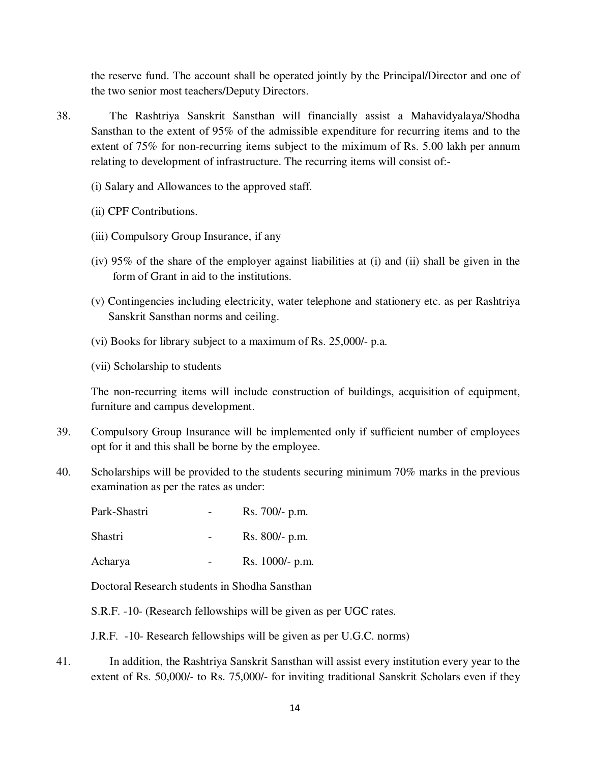the reserve fund. The account shall be operated jointly by the Principal/Director and one of the two senior most teachers/Deputy Directors.

- 38. The Rashtriya Sanskrit Sansthan will financially assist a Mahavidyalaya/Shodha Sansthan to the extent of 95% of the admissible expenditure for recurring items and to the extent of 75% for non-recurring items subject to the miximum of Rs. 5.00 lakh per annum relating to development of infrastructure. The recurring items will consist of:-
	- (i) Salary and Allowances to the approved staff.
	- (ii) CPF Contributions.
	- (iii) Compulsory Group Insurance, if any
	- (iv) 95% of the share of the employer against liabilities at (i) and (ii) shall be given in the form of Grant in aid to the institutions.
	- (v) Contingencies including electricity, water telephone and stationery etc. as per Rashtriya Sanskrit Sansthan norms and ceiling.
	- (vi) Books for library subject to a maximum of Rs. 25,000/- p.a.
	- (vii) Scholarship to students

The non-recurring items will include construction of buildings, acquisition of equipment, furniture and campus development.

- 39. Compulsory Group Insurance will be implemented only if sufficient number of employees opt for it and this shall be borne by the employee.
- 40. Scholarships will be provided to the students securing minimum 70% marks in the previous examination as per the rates as under:

| Park-Shastri   | Rs. 700/- p.m.   |
|----------------|------------------|
| <b>Shastri</b> | $Rs. 800/- p.m.$ |
| Acharya        | Rs. 1000/- p.m.  |

Doctoral Research students in Shodha Sansthan

S.R.F. -10- (Research fellowships will be given as per UGC rates.

J.R.F. -10- Research fellowships will be given as per U.G.C. norms)

41. In addition, the Rashtriya Sanskrit Sansthan will assist every institution every year to the extent of Rs. 50,000/- to Rs. 75,000/- for inviting traditional Sanskrit Scholars even if they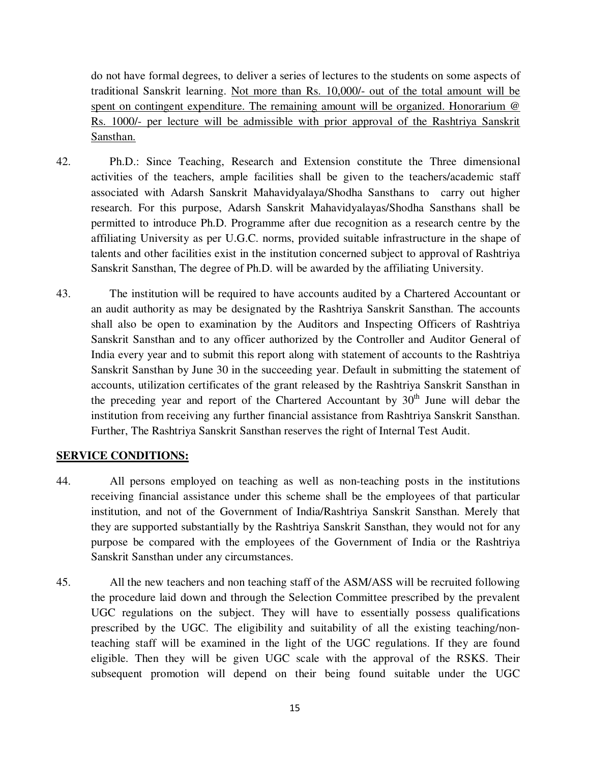do not have formal degrees, to deliver a series of lectures to the students on some aspects of traditional Sanskrit learning. Not more than Rs. 10,000/- out of the total amount will be spent on contingent expenditure. The remaining amount will be organized. Honorarium @ Rs. 1000/- per lecture will be admissible with prior approval of the Rashtriya Sanskrit Sansthan.

- 42. Ph.D.: Since Teaching, Research and Extension constitute the Three dimensional activities of the teachers, ample facilities shall be given to the teachers/academic staff associated with Adarsh Sanskrit Mahavidyalaya/Shodha Sansthans to carry out higher research. For this purpose, Adarsh Sanskrit Mahavidyalayas/Shodha Sansthans shall be permitted to introduce Ph.D. Programme after due recognition as a research centre by the affiliating University as per U.G.C. norms, provided suitable infrastructure in the shape of talents and other facilities exist in the institution concerned subject to approval of Rashtriya Sanskrit Sansthan, The degree of Ph.D. will be awarded by the affiliating University.
- 43. The institution will be required to have accounts audited by a Chartered Accountant or an audit authority as may be designated by the Rashtriya Sanskrit Sansthan. The accounts shall also be open to examination by the Auditors and Inspecting Officers of Rashtriya Sanskrit Sansthan and to any officer authorized by the Controller and Auditor General of India every year and to submit this report along with statement of accounts to the Rashtriya Sanskrit Sansthan by June 30 in the succeeding year. Default in submitting the statement of accounts, utilization certificates of the grant released by the Rashtriya Sanskrit Sansthan in the preceding year and report of the Chartered Accountant by  $30<sup>th</sup>$  June will debar the institution from receiving any further financial assistance from Rashtriya Sanskrit Sansthan. Further, The Rashtriya Sanskrit Sansthan reserves the right of Internal Test Audit.

# **SERVICE CONDITIONS:**

- 44. All persons employed on teaching as well as non-teaching posts in the institutions receiving financial assistance under this scheme shall be the employees of that particular institution, and not of the Government of India/Rashtriya Sanskrit Sansthan. Merely that they are supported substantially by the Rashtriya Sanskrit Sansthan, they would not for any purpose be compared with the employees of the Government of India or the Rashtriya Sanskrit Sansthan under any circumstances.
- 45. All the new teachers and non teaching staff of the ASM/ASS will be recruited following the procedure laid down and through the Selection Committee prescribed by the prevalent UGC regulations on the subject. They will have to essentially possess qualifications prescribed by the UGC. The eligibility and suitability of all the existing teaching/nonteaching staff will be examined in the light of the UGC regulations. If they are found eligible. Then they will be given UGC scale with the approval of the RSKS. Their subsequent promotion will depend on their being found suitable under the UGC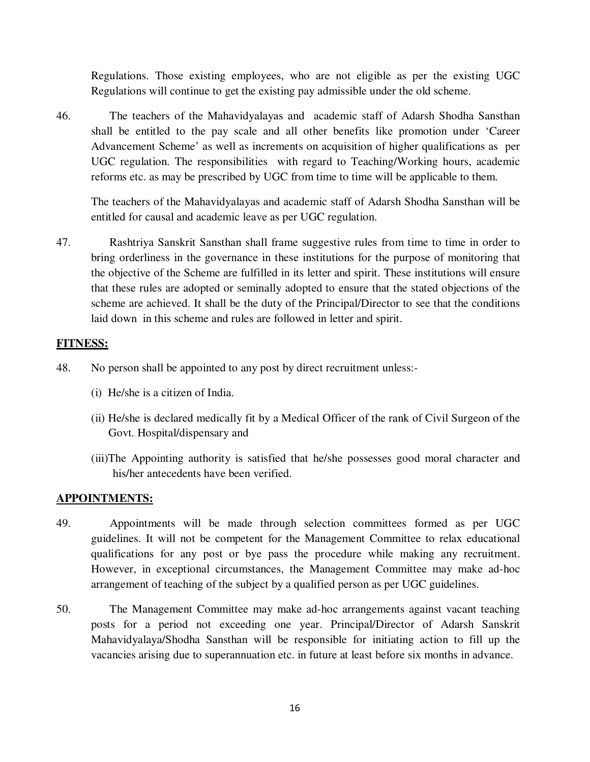Regulations. Those existing employees, who are not eligible as per the existing UGC Regulations will continue to get the existing pay admissible under the old scheme.

46. The teachers of the Mahavidyalayas and academic staff of Adarsh Shodha Sansthan shall be entitled to the pay scale and all other benefits like promotion under 'Career Advancement Scheme' as well as increments on acquisition of higher qualifications as per UGC regulation. The responsibilities with regard to Teaching/Working hours, academic reforms etc. as may be prescribed by UGC from time to time will be applicable to them.

The teachers of the Mahavidyalayas and academic staff of Adarsh Shodha Sansthan will be entitled for causal and academic leave as per UGC regulation.

47. Rashtriya Sanskrit Sansthan shall frame suggestive rules from time to time in order to bring orderliness in the governance in these institutions for the purpose of monitoring that the objective of the Scheme are fulfilled in its letter and spirit. These institutions will ensure that these rules are adopted or seminally adopted to ensure that the stated objections of the scheme are achieved. It shall be the duty of the Principal/Director to see that the conditions laid down in this scheme and rules are followed in letter and spirit.

# **FITNESS:**

- 48. No person shall be appointed to any post by direct recruitment unless:-
	- (i) He/she is a citizen of India.
	- (ii) He/she is declared medically fit by a Medical Officer of the rank of Civil Surgeon of the Govt. Hospital/dispensary and
	- (iii)The Appointing authority is satisfied that he/she possesses good moral character and his/her antecedents have been verified.

#### **APPOINTMENTS:**

- 49. Appointments will be made through selection committees formed as per UGC guidelines. It will not be competent for the Management Committee to relax educational qualifications for any post or bye pass the procedure while making any recruitment. However, in exceptional circumstances, the Management Committee may make ad-hoc arrangement of teaching of the subject by a qualified person as per UGC guidelines.
- 50. The Management Committee may make ad-hoc arrangements against vacant teaching posts for a period not exceeding one year. Principal/Director of Adarsh Sanskrit Mahavidyalaya/Shodha Sansthan will be responsible for initiating action to fill up the vacancies arising due to superannuation etc. in future at least before six months in advance.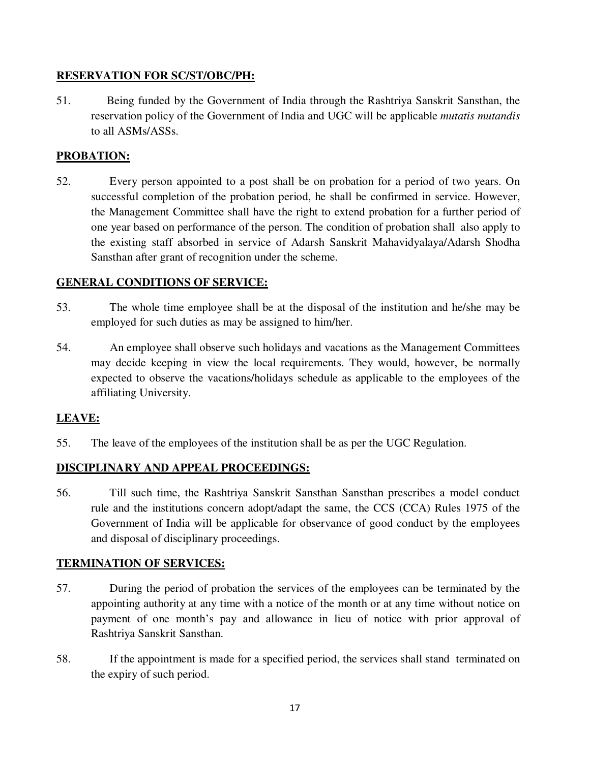# **RESERVATION FOR SC/ST/OBC/PH:**

51. Being funded by the Government of India through the Rashtriya Sanskrit Sansthan, the reservation policy of the Government of India and UGC will be applicable *mutatis mutandis* to all ASMs/ASSs.

# **PROBATION:**

52. Every person appointed to a post shall be on probation for a period of two years. On successful completion of the probation period, he shall be confirmed in service. However, the Management Committee shall have the right to extend probation for a further period of one year based on performance of the person. The condition of probation shall also apply to the existing staff absorbed in service of Adarsh Sanskrit Mahavidyalaya/Adarsh Shodha Sansthan after grant of recognition under the scheme.

# **GENERAL CONDITIONS OF SERVICE:**

- 53. The whole time employee shall be at the disposal of the institution and he/she may be employed for such duties as may be assigned to him/her.
- 54. An employee shall observe such holidays and vacations as the Management Committees may decide keeping in view the local requirements. They would, however, be normally expected to observe the vacations/holidays schedule as applicable to the employees of the affiliating University.

# **LEAVE:**

55. The leave of the employees of the institution shall be as per the UGC Regulation.

# **DISCIPLINARY AND APPEAL PROCEEDINGS:**

56. Till such time, the Rashtriya Sanskrit Sansthan Sansthan prescribes a model conduct rule and the institutions concern adopt/adapt the same, the CCS (CCA) Rules 1975 of the Government of India will be applicable for observance of good conduct by the employees and disposal of disciplinary proceedings.

# **TERMINATION OF SERVICES:**

- 57. During the period of probation the services of the employees can be terminated by the appointing authority at any time with a notice of the month or at any time without notice on payment of one month's pay and allowance in lieu of notice with prior approval of Rashtriya Sanskrit Sansthan.
- 58. If the appointment is made for a specified period, the services shall stand terminated on the expiry of such period.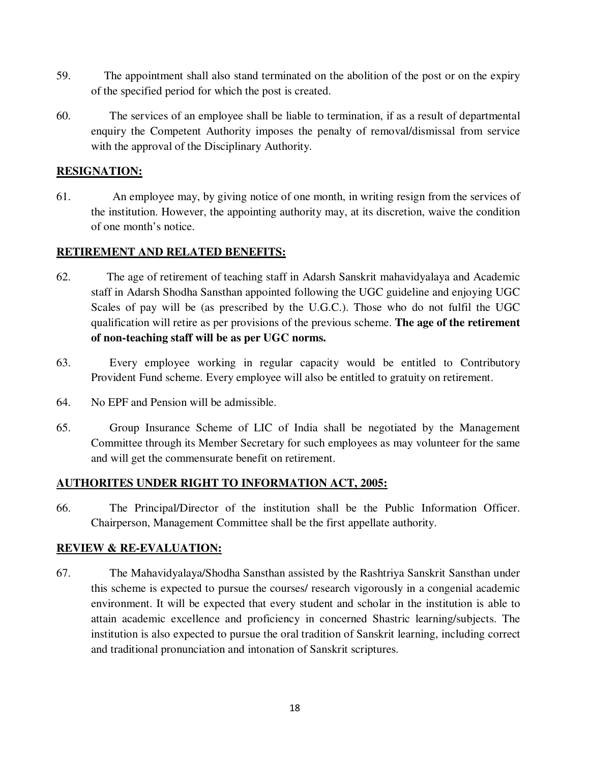- 59. The appointment shall also stand terminated on the abolition of the post or on the expiry of the specified period for which the post is created.
- 60. The services of an employee shall be liable to termination, if as a result of departmental enquiry the Competent Authority imposes the penalty of removal/dismissal from service with the approval of the Disciplinary Authority.

# **RESIGNATION:**

61. An employee may, by giving notice of one month, in writing resign from the services of the institution. However, the appointing authority may, at its discretion, waive the condition of one month's notice.

# **RETIREMENT AND RELATED BENEFITS:**

- 62. The age of retirement of teaching staff in Adarsh Sanskrit mahavidyalaya and Academic staff in Adarsh Shodha Sansthan appointed following the UGC guideline and enjoying UGC Scales of pay will be (as prescribed by the U.G.C.). Those who do not fulfil the UGC qualification will retire as per provisions of the previous scheme. **The age of the retirement of non-teaching staff will be as per UGC norms.**
- 63. Every employee working in regular capacity would be entitled to Contributory Provident Fund scheme. Every employee will also be entitled to gratuity on retirement.
- 64. No EPF and Pension will be admissible.
- 65. Group Insurance Scheme of LIC of India shall be negotiated by the Management Committee through its Member Secretary for such employees as may volunteer for the same and will get the commensurate benefit on retirement.

# **AUTHORITES UNDER RIGHT TO INFORMATION ACT, 2005:**

66. The Principal/Director of the institution shall be the Public Information Officer. Chairperson, Management Committee shall be the first appellate authority.

# **REVIEW & RE-EVALUATION:**

67. The Mahavidyalaya/Shodha Sansthan assisted by the Rashtriya Sanskrit Sansthan under this scheme is expected to pursue the courses/ research vigorously in a congenial academic environment. It will be expected that every student and scholar in the institution is able to attain academic excellence and proficiency in concerned Shastric learning/subjects. The institution is also expected to pursue the oral tradition of Sanskrit learning, including correct and traditional pronunciation and intonation of Sanskrit scriptures.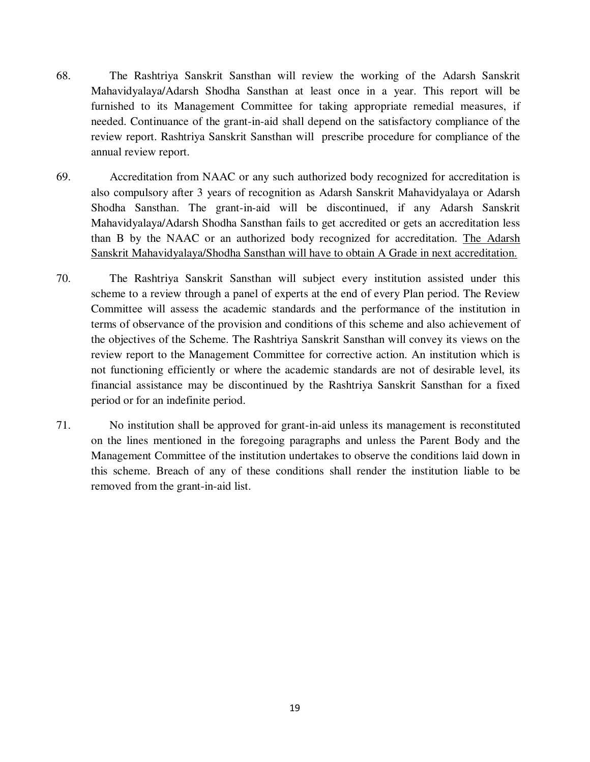- 68. The Rashtriya Sanskrit Sansthan will review the working of the Adarsh Sanskrit Mahavidyalaya/Adarsh Shodha Sansthan at least once in a year. This report will be furnished to its Management Committee for taking appropriate remedial measures, if needed. Continuance of the grant-in-aid shall depend on the satisfactory compliance of the review report. Rashtriya Sanskrit Sansthan will prescribe procedure for compliance of the annual review report.
- 69. Accreditation from NAAC or any such authorized body recognized for accreditation is also compulsory after 3 years of recognition as Adarsh Sanskrit Mahavidyalaya or Adarsh Shodha Sansthan. The grant-in-aid will be discontinued, if any Adarsh Sanskrit Mahavidyalaya/Adarsh Shodha Sansthan fails to get accredited or gets an accreditation less than B by the NAAC or an authorized body recognized for accreditation. The Adarsh Sanskrit Mahavidyalaya/Shodha Sansthan will have to obtain A Grade in next accreditation.
- 70. The Rashtriya Sanskrit Sansthan will subject every institution assisted under this scheme to a review through a panel of experts at the end of every Plan period. The Review Committee will assess the academic standards and the performance of the institution in terms of observance of the provision and conditions of this scheme and also achievement of the objectives of the Scheme. The Rashtriya Sanskrit Sansthan will convey its views on the review report to the Management Committee for corrective action. An institution which is not functioning efficiently or where the academic standards are not of desirable level, its financial assistance may be discontinued by the Rashtriya Sanskrit Sansthan for a fixed period or for an indefinite period.
- 71. No institution shall be approved for grant-in-aid unless its management is reconstituted on the lines mentioned in the foregoing paragraphs and unless the Parent Body and the Management Committee of the institution undertakes to observe the conditions laid down in this scheme. Breach of any of these conditions shall render the institution liable to be removed from the grant-in-aid list.